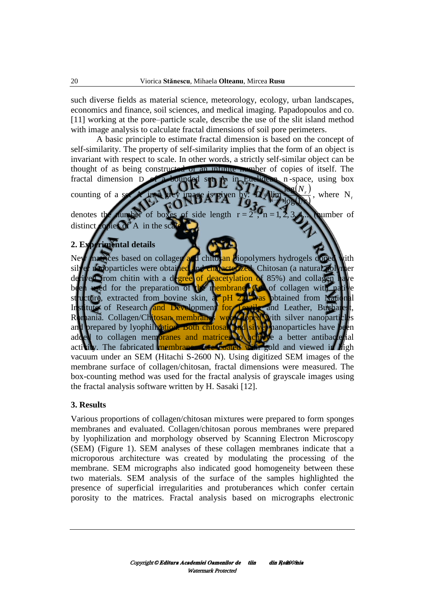such diverse fields as material science, meteorology, ecology, urban landscapes, economics and finance, soil sciences, and medical imaging. Papadopoulos and co. [11] working at the pore–particle scale, describe the use of the slit island method with image analysis to calculate fractal dimensions of soil pore perimeters.

 A basic principle to estimate fractal dimension is based on the concept of self-similarity. The property of self-similarity implies that the form of an object is invariant with respect to scale. In other words, a strictly self-similar object can be



(SEM) (Figure 1). SEM analyses of these collagen membranes indicate that a microporous architecture was created by modulating the processing of the membrane. SEM micrographs also indicated good homogeneity between these two materials. SEM analysis of the surface of the samples highlighted the presence of superficial irregularities and protuberances which confer certain porosity to the matrices. Fractal analysis based on micrographs electronic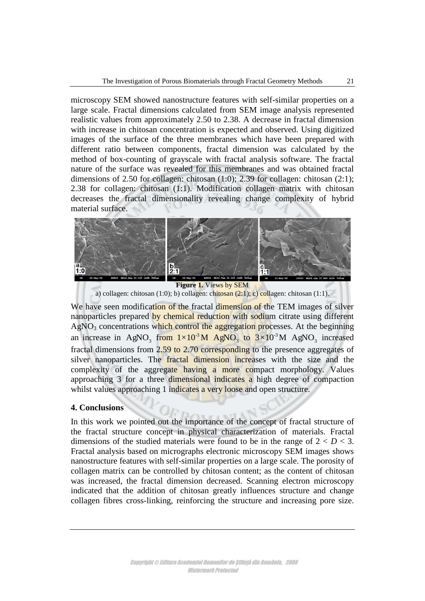microscopy SEM showed nanostructure features with self-similar properties on a large scale. Fractal dimensions calculated from SEM image analysis represented realistic values from approximately 2.50 to 2.38. A decrease in fractal dimension with increase in chitosan concentration is expected and observed. Using digitized images of the surface of the three membranes which have been prepared with different ratio between components, fractal dimension was calculated by the method of box-counting of grayscale with fractal analysis software. The fractal nature of the surface was revealed for this membranes and was obtained fractal dimensions of 2.50 for collagen: chitosan (1:0); 2.39 for collagen: chitosan (2:1); 2.38 for collagen: chitosan (1:1). Modification collagen matrix with chitosan decreases the fractal dimensionality revealing change complexity of hybrid material surface.



**Figure 1.** Views by SEM a) collagen: chitosan (1:0); b) collagen: chitosan (2:1); c) collagen: chitosan (1:1).

We have seen modification of the fractal dimension of the TEM images of silver nanoparticles prepared by chemical reduction with sodium citrate using different AgNO<sub>3</sub> concentrations which control the aggregation processes. At the beginning an increase in AgNO<sub>3</sub> from  $1 \times 10^{-3}$  M AgNO<sub>3</sub> to  $3 \times 10^{-3}$  M AgNO<sub>3</sub> increased fractal dimensions from 2.59 to 2.70 corresponding to the presence aggregates of silver nanoparticles. The fractal dimension increases with the size and the complexity of the aggregate having a more compact morphology. Values approaching 3 for a three dimensional indicates a high degree of compaction whilst values approaching 1 indicates a very loose and open structure.

## **4. Conclusions**

In this work we pointed out the importance of the concept of fractal structure of the fractal structure concept in physical characterization of materials. Fractal dimensions of the studied materials were found to be in the range of  $2 < D < 3$ . Fractal analysis based on micrographs electronic microscopy SEM images shows nanostructure features with self-similar properties on a large scale. The porosity of collagen matrix can be controlled by chitosan content; as the content of chitosan was increased, the fractal dimension decreased. Scanning electron microscopy indicated that the addition of chitosan greatly influences structure and change collagen fibres cross-linking, reinforcing the structure and increasing pore size.